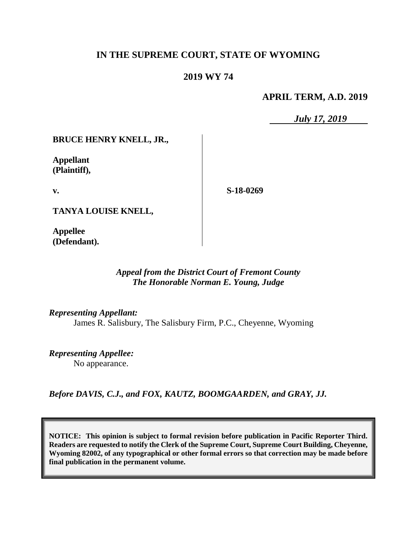# **IN THE SUPREME COURT, STATE OF WYOMING**

# **2019 WY 74**

## **APRIL TERM, A.D. 2019**

*July 17, 2019*

## **BRUCE HENRY KNELL, JR.,**

**Appellant (Plaintiff),**

**v.**

**S-18-0269**

**TANYA LOUISE KNELL,**

**Appellee (Defendant).**

## *Appeal from the District Court of Fremont County The Honorable Norman E. Young, Judge*

*Representing Appellant:* James R. Salisbury, The Salisbury Firm, P.C., Cheyenne, Wyoming

*Representing Appellee:* No appearance.

*Before DAVIS, C.J., and FOX, KAUTZ, BOOMGAARDEN, and GRAY, JJ.*

**NOTICE: This opinion is subject to formal revision before publication in Pacific Reporter Third. Readers are requested to notify the Clerk of the Supreme Court, Supreme Court Building, Cheyenne, Wyoming 82002, of any typographical or other formal errors so that correction may be made before final publication in the permanent volume.**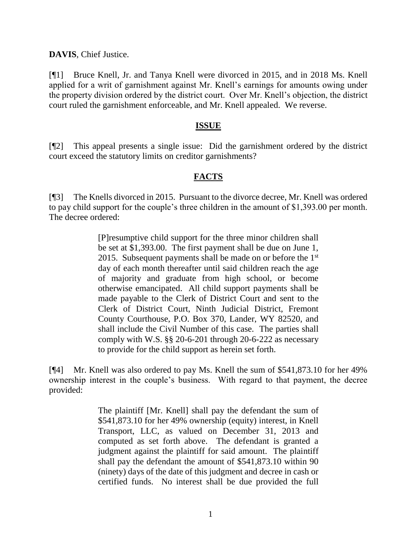**DAVIS**, Chief Justice.

[¶1] Bruce Knell, Jr. and Tanya Knell were divorced in 2015, and in 2018 Ms. Knell applied for a writ of garnishment against Mr. Knell's earnings for amounts owing under the property division ordered by the district court. Over Mr. Knell's objection, the district court ruled the garnishment enforceable, and Mr. Knell appealed. We reverse.

## **ISSUE**

[¶2] This appeal presents a single issue: Did the garnishment ordered by the district court exceed the statutory limits on creditor garnishments?

## **FACTS**

[¶3] The Knells divorced in 2015. Pursuant to the divorce decree, Mr. Knell was ordered to pay child support for the couple's three children in the amount of \$1,393.00 per month. The decree ordered:

> [P]resumptive child support for the three minor children shall be set at \$1,393.00. The first payment shall be due on June 1, 2015. Subsequent payments shall be made on or before the  $1<sup>st</sup>$ day of each month thereafter until said children reach the age of majority and graduate from high school, or become otherwise emancipated. All child support payments shall be made payable to the Clerk of District Court and sent to the Clerk of District Court, Ninth Judicial District, Fremont County Courthouse, P.O. Box 370, Lander, WY 82520, and shall include the Civil Number of this case. The parties shall comply with W.S. §§ 20-6-201 through 20-6-222 as necessary to provide for the child support as herein set forth.

[¶4] Mr. Knell was also ordered to pay Ms. Knell the sum of \$541,873.10 for her 49% ownership interest in the couple's business. With regard to that payment, the decree provided:

> The plaintiff [Mr. Knell] shall pay the defendant the sum of \$541,873.10 for her 49% ownership (equity) interest, in Knell Transport, LLC, as valued on December 31, 2013 and computed as set forth above. The defendant is granted a judgment against the plaintiff for said amount. The plaintiff shall pay the defendant the amount of \$541,873.10 within 90 (ninety) days of the date of this judgment and decree in cash or certified funds. No interest shall be due provided the full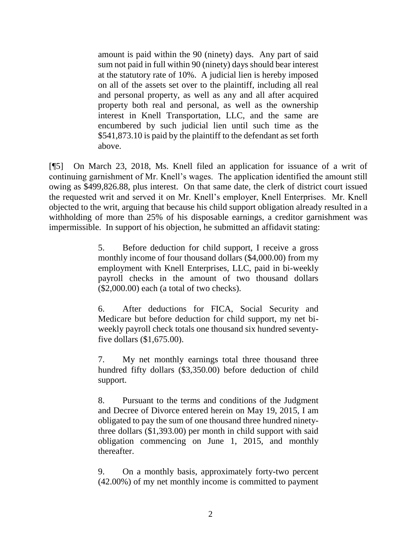amount is paid within the 90 (ninety) days. Any part of said sum not paid in full within 90 (ninety) days should bear interest at the statutory rate of 10%. A judicial lien is hereby imposed on all of the assets set over to the plaintiff, including all real and personal property, as well as any and all after acquired property both real and personal, as well as the ownership interest in Knell Transportation, LLC, and the same are encumbered by such judicial lien until such time as the \$541,873.10 is paid by the plaintiff to the defendant as set forth above.

[¶5] On March 23, 2018, Ms. Knell filed an application for issuance of a writ of continuing garnishment of Mr. Knell's wages. The application identified the amount still owing as \$499,826.88, plus interest. On that same date, the clerk of district court issued the requested writ and served it on Mr. Knell's employer, Knell Enterprises. Mr. Knell objected to the writ, arguing that because his child support obligation already resulted in a withholding of more than 25% of his disposable earnings, a creditor garnishment was impermissible. In support of his objection, he submitted an affidavit stating:

> 5. Before deduction for child support, I receive a gross monthly income of four thousand dollars (\$4,000.00) from my employment with Knell Enterprises, LLC, paid in bi-weekly payroll checks in the amount of two thousand dollars  $($2,000.00)$  each (a total of two checks).

> 6. After deductions for FICA, Social Security and Medicare but before deduction for child support, my net biweekly payroll check totals one thousand six hundred seventyfive dollars (\$1,675.00).

> 7. My net monthly earnings total three thousand three hundred fifty dollars (\$3,350.00) before deduction of child support.

> 8. Pursuant to the terms and conditions of the Judgment and Decree of Divorce entered herein on May 19, 2015, I am obligated to pay the sum of one thousand three hundred ninetythree dollars (\$1,393.00) per month in child support with said obligation commencing on June 1, 2015, and monthly thereafter.

> 9. On a monthly basis, approximately forty-two percent (42.00%) of my net monthly income is committed to payment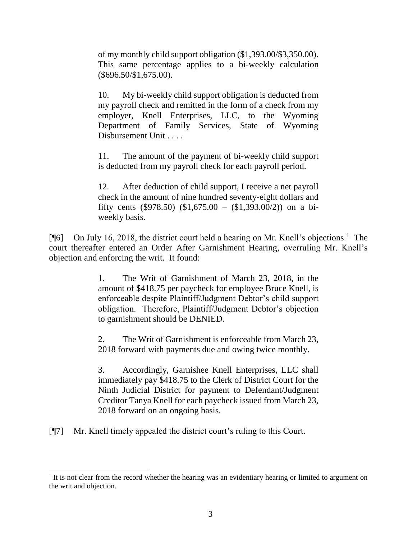of my monthly child support obligation (\$1,393.00/\$3,350.00). This same percentage applies to a bi-weekly calculation (\$696.50/\$1,675.00).

10. My bi-weekly child support obligation is deducted from my payroll check and remitted in the form of a check from my employer, Knell Enterprises, LLC, to the Wyoming Department of Family Services, State of Wyoming Disbursement Unit . . . .

11. The amount of the payment of bi-weekly child support is deducted from my payroll check for each payroll period.

12. After deduction of child support, I receive a net payroll check in the amount of nine hundred seventy-eight dollars and fifty cents (\$978.50) (\$1,675.00 – (\$1,393.00/2)) on a biweekly basis.

[¶6] On July 16, 2018, the district court held a hearing on Mr. Knell's objections.<sup>1</sup> The court thereafter entered an Order After Garnishment Hearing, overruling Mr. Knell's objection and enforcing the writ. It found:

> 1. The Writ of Garnishment of March 23, 2018, in the amount of \$418.75 per paycheck for employee Bruce Knell, is enforceable despite Plaintiff/Judgment Debtor's child support obligation. Therefore, Plaintiff/Judgment Debtor's objection to garnishment should be DENIED.

> 2. The Writ of Garnishment is enforceable from March 23, 2018 forward with payments due and owing twice monthly.

> 3. Accordingly, Garnishee Knell Enterprises, LLC shall immediately pay \$418.75 to the Clerk of District Court for the Ninth Judicial District for payment to Defendant/Judgment Creditor Tanya Knell for each paycheck issued from March 23, 2018 forward on an ongoing basis.

[¶7] Mr. Knell timely appealed the district court's ruling to this Court.

l

<sup>&</sup>lt;sup>1</sup> It is not clear from the record whether the hearing was an evidentiary hearing or limited to argument on the writ and objection.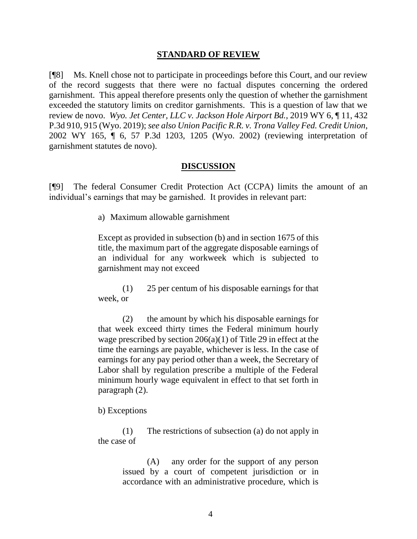#### **STANDARD OF REVIEW**

[¶8] Ms. Knell chose not to participate in proceedings before this Court, and our review of the record suggests that there were no factual disputes concerning the ordered garnishment. This appeal therefore presents only the question of whether the garnishment exceeded the statutory limits on creditor garnishments. This is a question of law that we review de novo. *Wyo. Jet Center, LLC v. Jackson Hole Airport Bd.*, 2019 WY 6, ¶ 11, 432 P.3d 910, 915 (Wyo. 2019); *see also Union Pacific R.R. v. Trona Valley Fed. Credit Union*, 2002 WY 165, ¶ 6, 57 P.3d 1203, 1205 (Wyo. 2002) (reviewing interpretation of garnishment statutes de novo).

#### **DISCUSSION**

[¶9] The federal Consumer Credit Protection Act (CCPA) limits the amount of an individual's earnings that may be garnished. It provides in relevant part:

a) Maximum allowable garnishment

Except as provided in subsection (b) and in [section 1675](http://www.westlaw.com/Link/Document/FullText?findType=L&pubNum=1000546&cite=15USCAS1675&originatingDoc=NBD4BBD30AFF711D8803AE0632FEDDFBF&refType=LQ&originationContext=document&vr=3.0&rs=cblt1.0&transitionType=DocumentItem&contextData=(sc.Document)) of this title, the maximum part of the aggregate disposable earnings of an individual for any workweek which is subjected to garnishment may not exceed

(1) 25 per centum of his disposable earnings for that week, or

(2) the amount by which his disposable earnings for that week exceed thirty times the Federal minimum hourly wage prescribed by [section 206\(a\)\(1\) of Title 29](http://www.westlaw.com/Link/Document/FullText?findType=L&pubNum=1000546&cite=29USCAS206&originatingDoc=NBD4BBD30AFF711D8803AE0632FEDDFBF&refType=RB&originationContext=document&vr=3.0&rs=cblt1.0&transitionType=DocumentItem&contextData=(sc.Document)#co_pp_7b9b000044381) in effect at the time the earnings are payable, whichever is less. In the case of earnings for any pay period other than a week, the Secretary of Labor shall by regulation prescribe a multiple of the Federal minimum hourly wage equivalent in effect to that set forth in paragraph (2).

#### b) Exceptions

(1) The restrictions of subsection (a) do not apply in the case of

> (A) any order for the support of any person issued by a court of competent jurisdiction or in accordance with an administrative procedure, which is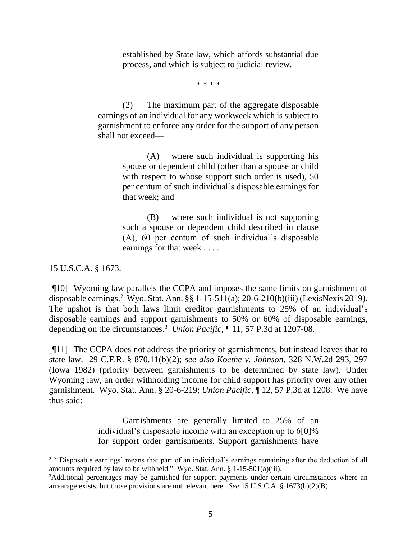established by State law, which affords substantial due process, and which is subject to judicial review.

\* \* \* \*

(2) The maximum part of the aggregate disposable earnings of an individual for any workweek which is subject to garnishment to enforce any order for the support of any person shall not exceed—

> (A) where such individual is supporting his spouse or dependent child (other than a spouse or child with respect to whose support such order is used), 50 per centum of such individual's disposable earnings for that week; and

> (B) where such individual is not supporting such a spouse or dependent child described in clause (A), 60 per centum of such individual's disposable earnings for that week . . . .

15 U.S.C.A. § 1673.

[¶10] Wyoming law parallels the CCPA and imposes the same limits on garnishment of disposable earnings.<sup>2</sup> Wyo. Stat. Ann. §§ 1-15-511(a); 20-6-210(b)(iii) (LexisNexis 2019). The upshot is that both laws limit creditor garnishments to 25% of an individual's disposable earnings and support garnishments to 50% or 60% of disposable earnings, depending on the circumstances.<sup>3</sup> *Union Pacific*, ¶ 11, 57 P.3d at 1207-08.

[¶11] The CCPA does not address the priority of garnishments, but instead leaves that to state law. 29 C.F.R. § 870.11(b)(2); *see also Koethe v. Johnson*, 328 N.W.2d 293, 297 (Iowa 1982) (priority between garnishments to be determined by state law). Under Wyoming law, an order withholding income for child support has priority over any other garnishment. Wyo. Stat. Ann. § 20-6-219; *Union Pacific*, ¶ 12, 57 P.3d at 1208. We have thus said:

> Garnishments are generally limited to 25% of an individual's disposable income with an exception up to 6[0]% for support order garnishments. Support garnishments have

<sup>&</sup>lt;sup>2</sup> "Disposable earnings' means that part of an individual's earnings remaining after the deduction of all amounts required by law to be withheld." Wyo. Stat. Ann.  $\S$  1-15-501(a)(iii).

<sup>&</sup>lt;sup>3</sup>Additional percentages may be garnished for support payments under certain circumstances where an arrearage exists, but those provisions are not relevant here. *See* 15 U.S.C.A. § 1673(b)(2)(B).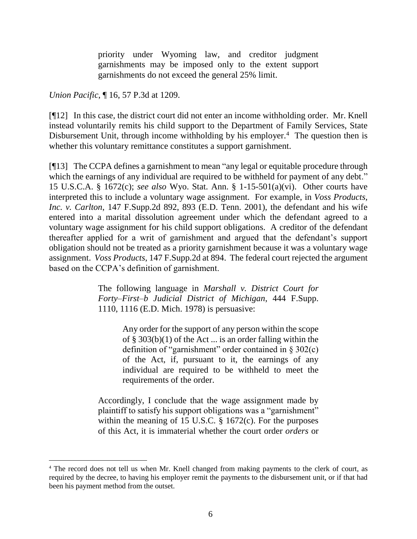priority under Wyoming law, and creditor judgment garnishments may be imposed only to the extent support garnishments do not exceed the general 25% limit.

*Union Pacific*, ¶ 16, 57 P.3d at 1209.

[¶12] In this case, the district court did not enter an income withholding order. Mr. Knell instead voluntarily remits his child support to the Department of Family Services, State Disbursement Unit, through income withholding by his employer.<sup>4</sup> The question then is whether this voluntary remittance constitutes a support garnishment.

[¶13] The CCPA defines a garnishment to mean "any legal or equitable procedure through which the earnings of any individual are required to be withheld for payment of any debt." 15 U.S.C.A. § 1672(c); *see also* Wyo. Stat. Ann. § 1-15-501(a)(vi). Other courts have interpreted this to include a voluntary wage assignment. For example, in *Voss Products, Inc. v. Carlton*, 147 F.Supp.2d 892, 893 (E.D. Tenn. 2001), the defendant and his wife entered into a marital dissolution agreement under which the defendant agreed to a voluntary wage assignment for his child support obligations. A creditor of the defendant thereafter applied for a writ of garnishment and argued that the defendant's support obligation should not be treated as a priority garnishment because it was a voluntary wage assignment. *Voss Products*, 147 F.Supp.2d at 894. The federal court rejected the argument based on the CCPA's definition of garnishment.

> The following language in *Marshall v. District Court for Forty–First–b Judicial District of Michigan*, 444 F.Supp. 1110, 1116 (E.D. Mich. 1978) is persuasive:

> > Any order for the support of any person within the scope of § 303(b)(1) of the Act ... is an order falling within the definition of "garnishment" order contained in § 302(c) of the Act, if, pursuant to it, the earnings of any individual are required to be withheld to meet the requirements of the order.

Accordingly, I conclude that the wage assignment made by plaintiff to satisfy his support obligations was a "garnishment" within the meaning of 15 U.S.C.  $\S$  1672(c). For the purposes of this Act, it is immaterial whether the court order *orders* or

<sup>4</sup> The record does not tell us when Mr. Knell changed from making payments to the clerk of court, as required by the decree, to having his employer remit the payments to the disbursement unit, or if that had been his payment method from the outset.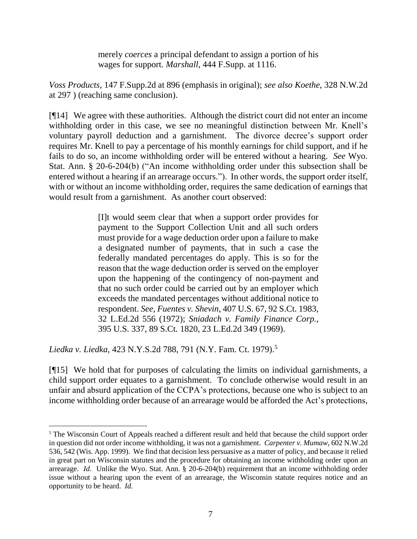merely *coerces* a principal defendant to assign a portion of his wages for support. *Marshall*, 444 F.Supp. at 1116.

*Voss Products*, 147 F.Supp.2d at 896 (emphasis in original); *see also Koethe*, 328 N.W.2d at 297 ) (reaching same conclusion).

[¶14] We agree with these authorities. Although the district court did not enter an income withholding order in this case, we see no meaningful distinction between Mr. Knell's voluntary payroll deduction and a garnishment. The divorce decree's support order requires Mr. Knell to pay a percentage of his monthly earnings for child support, and if he fails to do so, an income withholding order will be entered without a hearing. *See* Wyo. Stat. Ann. § 20-6-204(b) ("An income withholding order under this subsection shall be entered without a hearing if an arrearage occurs."). In other words, the support order itself, with or without an income withholding order, requires the same dedication of earnings that would result from a garnishment. As another court observed:

> [I]t would seem clear that when a support order provides for payment to the Support Collection Unit and all such orders must provide for a wage deduction order upon a failure to make a designated number of payments, that in such a case the federally mandated percentages do apply. This is so for the reason that the wage deduction order is served on the employer upon the happening of the contingency of non-payment and that no such order could be carried out by an employer which exceeds the mandated percentages without additional notice to respondent. *See*, *Fuentes v. Shevin*, 407 U.S. 67, 92 S.Ct. 1983, 32 L.Ed.2d 556 (1972); *Sniadach v. Family Finance Corp.*, 395 U.S. 337, 89 S.Ct. 1820, 23 L.Ed.2d 349 (1969).

*Liedka v. Liedka*, 423 N.Y.S.2d 788, 791 (N.Y. Fam. Ct. 1979).<sup>5</sup>

 $\overline{a}$ 

[¶15] We hold that for purposes of calculating the limits on individual garnishments, a child support order equates to a garnishment. To conclude otherwise would result in an unfair and absurd application of the CCPA's protections, because one who is subject to an income withholding order because of an arrearage would be afforded the Act's protections,

<sup>&</sup>lt;sup>5</sup> The Wisconsin Court of Appeals reached a different result and held that because the child support order in question did not order income withholding, it was not a garnishment. *Carpenter v. Mumaw*, 602 N.W.2d 536, 542 (Wis. App. 1999). We find that decision less persuasive as a matter of policy, and because it relied in great part on Wisconsin statutes and the procedure for obtaining an income withholding order upon an arrearage. *Id*. Unlike the Wyo. Stat. Ann. § 20-6-204(b) requirement that an income withholding order issue without a hearing upon the event of an arrearage, the Wisconsin statute requires notice and an opportunity to be heard. *Id*.